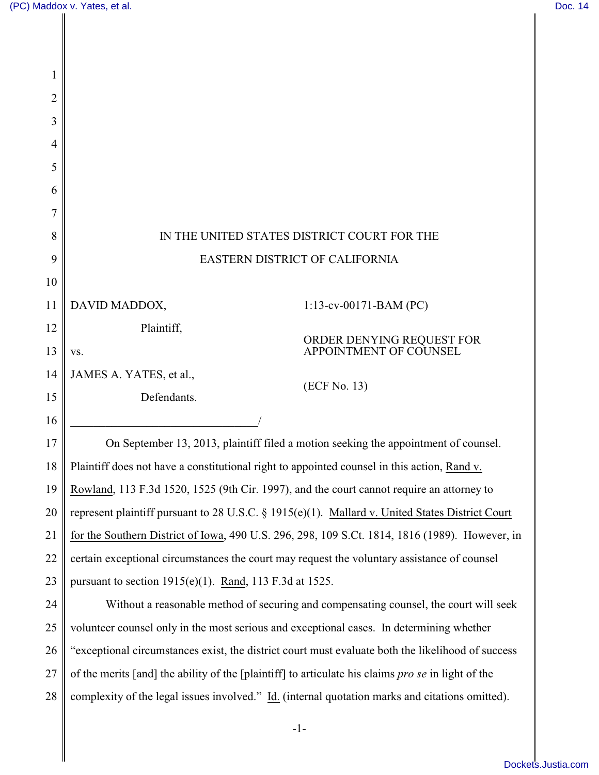| 2  |                                                                                                    |
|----|----------------------------------------------------------------------------------------------------|
| 3  |                                                                                                    |
| 4  |                                                                                                    |
| 5  |                                                                                                    |
| 6  |                                                                                                    |
| 7  |                                                                                                    |
| 8  | IN THE UNITED STATES DISTRICT COURT FOR THE                                                        |
| 9  | EASTERN DISTRICT OF CALIFORNIA                                                                     |
| 10 |                                                                                                    |
| 11 | DAVID MADDOX,<br>$1:13$ -cv-00171-BAM (PC)                                                         |
| 12 | Plaintiff,                                                                                         |
| 13 | ORDER DENYING REQUEST FOR<br>APPOINTMENT OF COUNSEL<br>VS.                                         |
| 14 | JAMES A. YATES, et al.,<br>(ECF No. 13)                                                            |
| 15 | Defendants.                                                                                        |
| 16 |                                                                                                    |
| 17 | On September 13, 2013, plaintiff filed a motion seeking the appointment of counsel.                |
| 18 | Plaintiff does not have a constitutional right to appointed counsel in this action, Rand v.        |
| 19 | Rowland, 113 F.3d 1520, 1525 (9th Cir. 1997), and the court cannot require an attorney to          |
| 20 | represent plaintiff pursuant to 28 U.S.C. § 1915(e)(1). Mallard v. United States District Court    |
| 21 | for the Southern District of Iowa, 490 U.S. 296, 298, 109 S.Ct. 1814, 1816 (1989). However, in     |
| 22 | certain exceptional circumstances the court may request the voluntary assistance of counsel        |
| 23 | pursuant to section $1915(e)(1)$ . Rand, 113 F.3d at 1525.                                         |
| 24 | Without a reasonable method of securing and compensating counsel, the court will seek              |
| 25 | volunteer counsel only in the most serious and exceptional cases. In determining whether           |
| 26 | "exceptional circumstances exist, the district court must evaluate both the likelihood of success  |
| 27 | of the merits [and] the ability of the [plaintiff] to articulate his claims pro se in light of the |
| 28 | complexity of the legal issues involved." Id. (internal quotation marks and citations omitted).    |
|    |                                                                                                    |